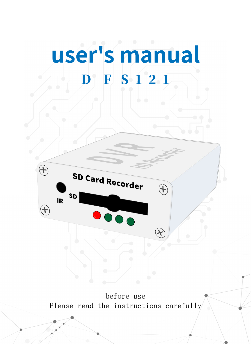# user's manual D F S 1 2 1



 before use Please read the instructions carefully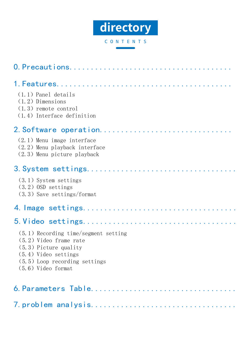

### C O N T E N T S

| $(1, 1)$ Panel details<br>$(1, 2)$ Dimensions<br>$(1.3)$ remote control<br>$(1.4)$ Interface definition                                                                            |
|------------------------------------------------------------------------------------------------------------------------------------------------------------------------------------|
| 2. Software operation<br>$(2.1)$ Menu image interface<br>(2.2) Menu playback interface<br>(2.3) Menu picture playback                                                              |
| (3.1) System settings<br>$(3.2)$ OSD settings<br>$(3.3)$ Save settings/format                                                                                                      |
|                                                                                                                                                                                    |
|                                                                                                                                                                                    |
| $(5.1)$ Recording time/segment setting<br>$(5.2)$ Video frame rate<br>$(5.3)$ Picture quality<br>$(5.4)$ Video settings<br>$(5.5)$ Loop recording settings<br>$(5.6)$ Video format |
| 6. Parameters Table                                                                                                                                                                |

7.problem analysis..................................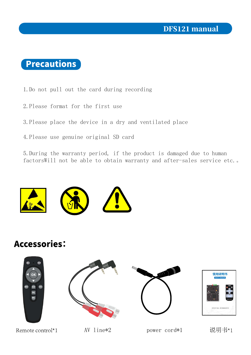## **Precautions**

1. Do not pull out the card during recording

- 2. Please format for the first use
- 3. Please place the device in a dry and ventilated place
- 4. Please use genuine original SD card

5. During the warranty period, if the product is damaged due to human factorsWill not be able to obtain warranty and after-sales service etc..



## **Accessories:**





Remote control $*1$ 

 $AV \text{ line*2}$ 

power cord\*1

说明书\*1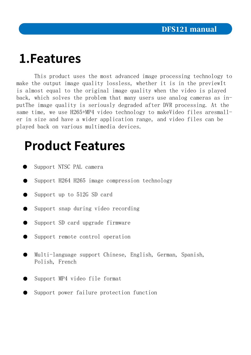## 1. Features

This product uses the most advanced image processing technology to make the output image quality lossless, whether it is in the previewIt is almost equal to the original image quality when the video is played back, which solves the problem that many users use analog cameras as inputThe image quality is seriously degraded after DVR processing. At the same time, we use H265+MP4 video technology to makeVideo files aresmaller in size and have a wider application range, and video files can be played back on various multimedia devices.

## **Product Features**

- Support NTSC PAL camera
- Support H264 H265 image compression technology
- Support up to  $512G$  SD card  $\bullet$
- Support snap during video recording  $\bullet$
- Support SD card upgrade firmware  $\bullet$
- Support remote control operation
- Multi-language support Chinese, English, German, Spanish, Polish, French
- Support MP4 video file format
- Support power failure protection function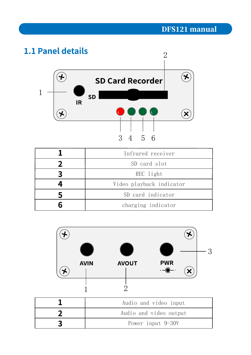## 1.1 Panel details



| Infrared receiver        |
|--------------------------|
| SD card slot             |
| REC light                |
| Video playback indicator |
| SD card indicator        |
| charging indicator       |



| Audio and video input  |
|------------------------|
| Audio and video output |
| Power input 9-30V      |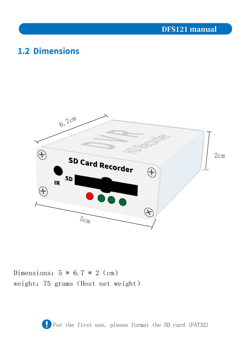## **1.2 Dimensions**



Dimensions:  $5 * 6.7 * 2$  (cm) weight: 75 grams (Host net weight)

For the first use, please format the SD card (FAT32)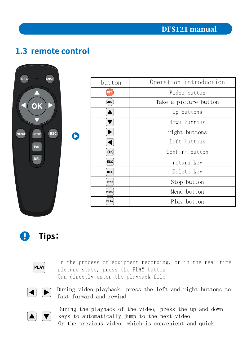## 1.3 remote control

| <b>REC</b><br><b>SNAP</b>          | button      | Operation introduction |
|------------------------------------|-------------|------------------------|
|                                    | <b>REC</b>  | Video button           |
|                                    | (SNAP)      | Take a picture button  |
|                                    |             | Up buttons             |
|                                    |             | down buttons           |
| ESC)<br><b>MENU</b><br><b>STOP</b> |             | right buttons          |
|                                    |             | Left buttons           |
| <b>PAL</b>                         | OK          | Confirm button         |
| <b>DEL</b>                         | <b>ESC</b>  | return key             |
|                                    | <b>DEL</b>  | Delete key             |
|                                    | <b>STOP</b> | Stop button            |
|                                    | MENU        | Menu button            |
|                                    | PLAY        | Play button            |
|                                    |             |                        |

Tips: Q)



In the process of equipment recording, or in the real-time picture state, press the PLAY button Can directly enter the playback file



During video playback, press the left and right buttons to fast forward and rewind



During the playback of the video, press the up and down keys to automatically jump to the next video Or the previous video, which is convenient and quick.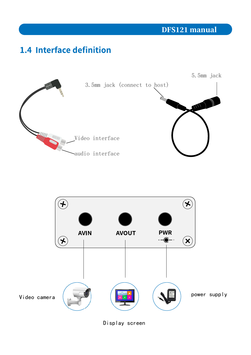## 1.4 Interface definition





Display screen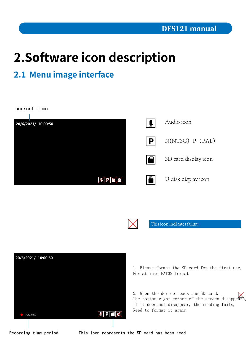## 2. Software icon description

## 2.1 Menu image interface

current time Audio icon  $\bullet$ 20/6/2021/ 10:00:50 **P**  $N(NTSC)$   $P$   $(PAL)$ ❹ SD card display icon  $\blacksquare$ U disk display icon XXXX



This icon indicates failure



1. Please format the SD card for the first use, Format into FAT32 format

2. When the device reads the SD card, The bottom right corner of the screen disappears, If it does not disappear, the reading fails, Need to format it again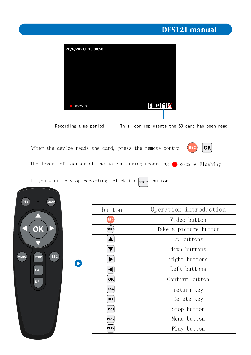

After the device reads the card, press the remote control **REC** 



The lower left corner of the screen during recording  $\bigcirc$  00:25:59 Flashing

If you want to stop recording, click the  $\begin{bmatrix} \mathsf{stop} \end{bmatrix}$  button

 $\begin{array}{c} \begin{array}{c} \begin{array}{c} \end{array} \\ \begin{array}{c} \end{array} \end{array} \end{array}$ 

| <b>REC</b><br><b>SNAP</b>                |             |                        |
|------------------------------------------|-------------|------------------------|
|                                          | button      | Operation introduction |
|                                          | <b>REC</b>  | Video button           |
| Oł                                       | (SNAP)      | Take a picture button  |
|                                          |             | Up buttons             |
|                                          |             | down buttons           |
| <b>ESC</b><br><b>MENU</b><br><b>STOP</b> |             | right buttons          |
| <b>PAL</b>                               |             | Left buttons           |
| <b>DEL</b>                               | OK          | Confirm button         |
|                                          | <b>ESC</b>  | return key             |
|                                          | <b>DEL</b>  | Delete key             |
|                                          | <b>STOP</b> | Stop button            |
|                                          | MENU        | Menu button            |
|                                          | PLAY        | Play button            |
|                                          |             |                        |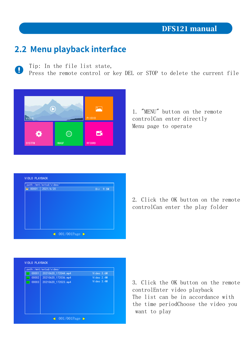### 2.2 Menu playback interface

Tip: In the file list state, O

Press the remote control or key DEL or STOP to delete the current file



1. "MENU" button on the remote controlCan enter directly Menu page to operate

|                 | path:/mnt/extsd/video/ |            |
|-----------------|------------------------|------------|
| $\approx 00001$ | 2021/6/20              | $Dir$ 9.5M |
|                 |                        |            |
|                 |                        |            |
|                 |                        |            |
|                 |                        |            |
|                 |                        |            |
|                 |                        |            |
|                 |                        |            |
|                 |                        |            |
|                 |                        |            |
|                 |                        |            |

2. Click the OK button on the remote controlCan enter the play folder



3. Click the OK button on the remote controlEnter video playback The list can be in accordance with the time periodChoose the video you want to play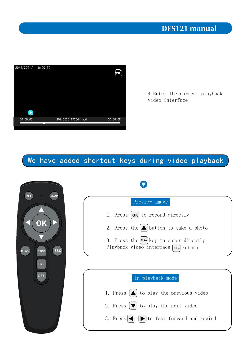

4. Enter the current playback video interface

### We have added shortcut keys during video playback



 $\boldsymbol{\nabla}$ 

#### Preview image

1. Press  $\left[ \text{OK} \right]$  to record directly

- 2. Press the  $\Box$  button to take a photo
- 3. Press the  $[PLAY]$  key to enter directly Playback video interface  $\overline{\text{fsc}}$  return

## In playback mode

- 1. Press  $\Delta$  to play the previous video
- 2. Press  $[\nabla]$  to play the next video
- 3. Press $\bigcap$   $\bigcap$  to fast forward and rewind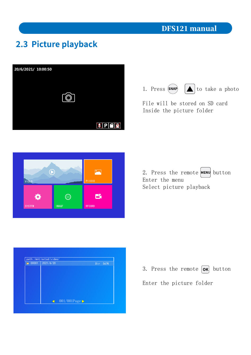## 2.3 Picture playback





File will be stored on SD card Inside the picture folder







3. Press the remote  $\overline{ox}$  button Enter the picture folder

### **DFS121 manual**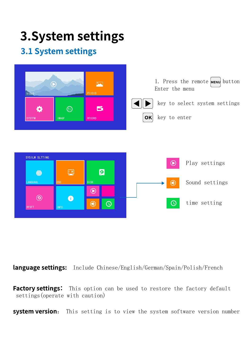## **3. System settings**

## **3.1 System settings**



language settings: Include Chinese/English/German/Spain/Polish/French

Factory settings: This option can be used to restore the factory default settings (operate with caution)

system version: This setting is to view the system software version number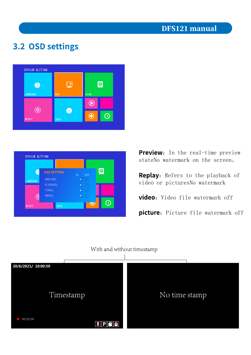## 3.2 OSD settings





Preview: In the real-time preview stateNo watermark on the screen.

Replay: Refers to the playback of video or picturesNo watermark

video: Video file watermark off

picture: Picture file watermark off

#### With and without timestamp

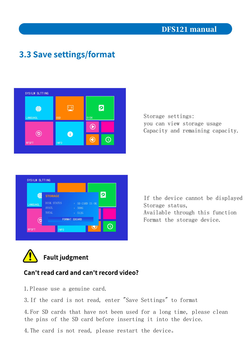## **3.3 Save settings/format**



Storage settings: you can view storage usage Capacity and remaining capacity.



If the device cannot be displayed Storage status, Available through this function Format the storage device.



#### Can't read card and can't record video?

1. Please use a genuine card.

3. If the card is not read, enter "Save Settings" to format

4. For SD cards that have not been used for a long time, please clean the pins of the SD card before inserting it into the device.

4. The card is not read, please restart the device.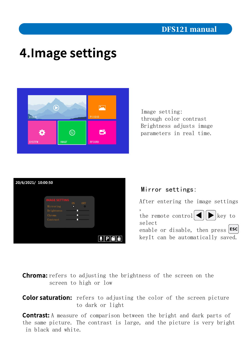## **4. Image settings**



Image setting: through color contrast Brightness adjusts image parameters in real time.



Mirror settings:

After entering the image settings

, the remote control  $\left|\bullet\right|$  key to select

enable or disable, then press  $|\text{esc}|$ keyIt can be automatically saved.

**Chroma:** refers to adjusting the brightness of the screen on the screen to high or low

**Color saturation:** refers to adjusting the color of the screen picture to dark or light

**Contrast:** A measure of comparison between the bright and dark parts of the same picture. The contrast is large, and the picture is very bright in black and white.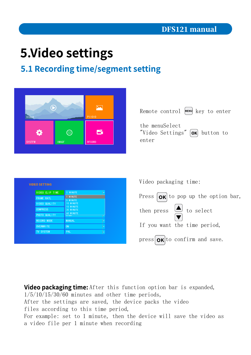## **5. Video settings**

## 5.1 Recording time/segment setting





| <b>VIDEO CLIP TIME</b> | 1 MINUTE                        | ÷                             |
|------------------------|---------------------------------|-------------------------------|
| <b>FRAME RATL</b>      | 1 MINUTE<br>5 MINUTE            |                               |
| <b>VIDEO QUALITY</b>   | 10 MINUTE                       | 15 MINUTE<br><b>30 MINUTE</b> |
| <b>COMPRESS</b>        |                                 |                               |
| PHOTO QUALITY          | 60 MINUTE<br>$\overline{11}$ un |                               |
| <b>RECORD MODE</b>     | <b>MANUAL</b>                   | ÷                             |
| <b>OVERWRITE</b>       | <b>ON</b>                       | ÷                             |
| <b>TV SYSTEM</b>       | <b>PAL</b>                      | ÷                             |

Video packaging time:

Press  $\overline{OR}$  to pop up the option bar, then press  $\overline{\bigodot}$  to select If you want the time period,  $pres[**ok**]$  to confirm and save.

Video packaging time: After this function option bar is expanded,  $1/5/10/15/30/60$  minutes and other time periods, After the settings are saved, the device packs the video files according to this time period, For example: set to 1 minute, then the device will save the video as a video file per 1 minute when recording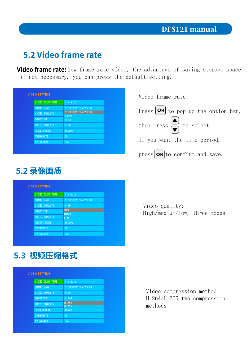## 5.2 Video frame rate

**Video frame rate:** low frame rate video, the advantage of saving storage space, if not necessary, you can press the default setting.

| <b>VIDEO SETTING</b>   |                    |
|------------------------|--------------------|
| <b>VIDEO CLIP TIME</b> | 1 MINUTE           |
| <b>FRAME RATL</b>      | NTSC30FPS/PAL25FPS |
| VIDEO QUALITY          | NTSC30FPS/PAL25FPS |
| <b>COMPRESS</b>        | 15FPS<br>5FPS      |
| PHOTO QUALITY          | <b>HIGH</b>        |
| <b>RECORD MODE</b>     | <b>MANUAL</b>      |
| <b>OVERWRITE</b>       | ON                 |
| <b>TV SYSTEM</b>       | <b>PAL</b>         |

Video frame rate:

Press  $\left[\frac{\partial K}{\partial t}\right]$  to pop up the option bar, then press  $\begin{array}{|c|c|c|}\n\hline\n\end{array}$  to select If you want the time period,

 $pres[**OK**]$  to confirm and save.

## **5.2 录像画质**

| <b>VIDEO SETTING</b> |                             |
|----------------------|-----------------------------|
| VIDEO CLIP TIME      | 1 MINUTE                    |
| <b>FRAME RATL</b>    | NTSC30FPS/PAL25FPS          |
| VIDEO QUALITY        | <b>HIGH</b>                 |
| <b>COMPRESS</b>      | HIGH                        |
| PHOTO QUALITY        | <b>MIDDLL</b><br><b>LOW</b> |
| <b>RECORD MODE</b>   | <b>MANUAL</b>               |
| <b>OVERWRITE</b>     | ON                          |
| <b>TV SYSTEM</b>     | PAL                         |

Video quality: High/medium/low, three modes

## 5.3 视频压缩格式

| <b>VIDEO SETTING</b> |                    |
|----------------------|--------------------|
| VIDEO CLIP TIME      | 1 MINUTE           |
| <b>FRAME RATL</b>    | NTSC30FPS/PAL25FPS |
| VIDEO QUALITY        | HIGH               |
| <b>COMPRESS</b>      | H. 264             |
| PHOTO QUALITY        | H. 264<br>H. 265   |
| <b>RECORD MODE</b>   | <b>MANUAL</b>      |
| <b>OVERWRITE</b>     | <b>ON</b>          |
| <b>TV SYSTEM</b>     | <b>PAL</b>         |

Video compression method: H.  $264$ /H.  $265$  two compression methods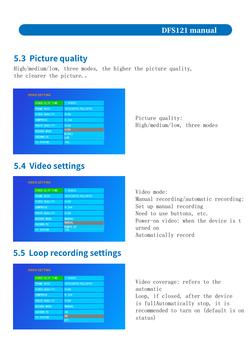### **5.3 Picture quality**

High/medium/low, three modes, the higher the picture quality, the clearer the picture..

| <b>VIDEO SETTING</b> |                      |
|----------------------|----------------------|
| VIDEO CLIP TIME      | 1 MINUTE             |
| <b>FRAME RATE</b>    | NTSC30FPS/PAL25FPS   |
| VIDEO QUALITY        | <b>HIGH</b>          |
| <b>COMPRESS</b>      | H. 264               |
| PHOTO QUALITY        | <b>HIGH</b>          |
| <b>RECORD MODE</b>   | <b>HIGH</b>          |
| <b>OVERWRITE</b>     | <b>MIDDLL</b><br>LOW |
| <b>TV SYSTEM</b>     | <b>PAL</b>           |

Picture quality: High/medium/low, three modes

## **5.4 Video settings**

| <b>VIDEO SETTING</b> |                                  |
|----------------------|----------------------------------|
| VIDEO CLIP TIME      | 1 MINUTE                         |
| <b>FRAME RATE</b>    | NTSC30FPS/PAL25FPS               |
| VIDEO QUALITY        | <b>HIGH</b>                      |
| <b>COMPRESS</b>      | H. 264                           |
| PHOTO QUALITY        | <b>HIGH</b>                      |
| <b>RECORD MODE</b>   | <b>MANUAL</b>                    |
| <b>OVERWRITE</b>     | <b>MANUAL</b><br><b>POWFR UP</b> |
| <b>TV SYSTEM</b>     | <b>PAL</b>                       |

Video mode: Manual recording/automatic recording: Set up manual recording Need to use buttons, etc. Power-on video: when the device is t urned on Automatically record

## **5.5 Loop recording settings**

| <b>VIDEO SETTING</b>   |                    |  |
|------------------------|--------------------|--|
| <b>VIDEO CLIP TIME</b> | 1 MINUTE           |  |
| <b>FRAME RATE</b>      | NTSC30FPS/PAL25FPS |  |
| <b>VIDEO QUALITY</b>   | <b>HIGH</b>        |  |
| <b>COMPRESS</b>        | H. 264             |  |
| PHOTO QUALITY          | <b>HIGH</b>        |  |
| <b>RECORD MODE</b>     | <b>MANUAL</b>      |  |
| <b>OVERWRITE</b>       | <b>ON</b>          |  |
| <b>TV SYSTEM</b>       | <b>ON</b>          |  |
|                        | <b>OFF</b>         |  |

Video coverage: refers to the automatic Loop, if closed, after the device is fullAutomatically stop, it is recommended to turn on (default is on status)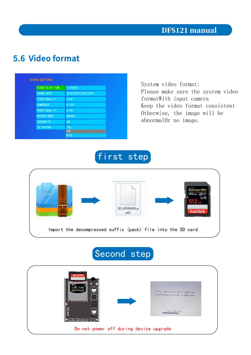## 5.6 Video format

| <b>VIDEO SETTING</b> |                    |
|----------------------|--------------------|
| VIDEO CLIP TIME      | 1 MINUTE           |
| <b>FRAME RATE</b>    | NTSC30FPS/PAL25FPS |
| VIDEO QUALITY        | <b>HIGH</b>        |
| <b>COMPRESS</b>      | H. 264             |
| PHOTO QUALITY        | <b>HIGH</b>        |
| <b>RECORD MODE</b>   | <b>MANUAL</b>      |
| <b>OVERWRITE</b>     | <b>ON</b>          |
| <b>TV SYSTEM</b>     | PAL                |
|                      | <b>PAL</b>         |
|                      | <b>NTSC</b>        |

System video format: Please make sure the system video formatWith input camera Keep the video format consistent Otherwise, the image will be abnormalOr no image.

first step



## Second step

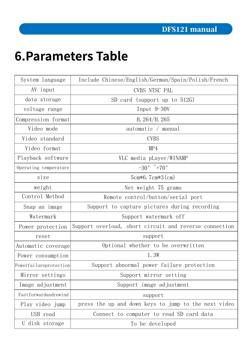## **6. Parameters Table**

| System language        | Include Chinese/English/German/Spain/Polish/French     |
|------------------------|--------------------------------------------------------|
| AV input               | CVBS NTSC PAL                                          |
| data storage           | SD card (support up to $512G$ )                        |
| voltage range          | Input $9-30V$                                          |
| Compression format     | H. $264/H.265$                                         |
| Video mode             | automatic / manual                                     |
| Video standard         | <b>CVBS</b>                                            |
| Video format           | MP4                                                    |
| Playback software      | VLC media pLayer/WINAMP                                |
| Operating temperature  | $-30^\circ$ $\sim$ +70 $^\circ$                        |
| size                   | 5cm $*6.7$ cm $*3$ (cm)                                |
| weight                 | Net weight 75 grams                                    |
| Control Method         | Remote control/button/serial port                      |
| Snap an image          | Support to capture pictures during recording           |
| Watermark              | Support watermark off                                  |
| Power protection       | Support overload, short circuit and reverse connection |
| reset                  | support                                                |
| Automatic coverage     | Optional whether to be overwritten                     |
| Power consumption      | 1.3W                                                   |
| Powerfailureprotection | Support abnormal power failure protection              |
| Mirror settings        | Support mirror setting                                 |
| Image adjustment       | Support image adjustment                               |
| Fastforwardandrewind   | support                                                |
| Play video jump        | press the up and down keys to jump to the next video   |
| USB read               | Connect to computer to read SD card data               |
| U disk storage         | To be developed                                        |
|                        |                                                        |